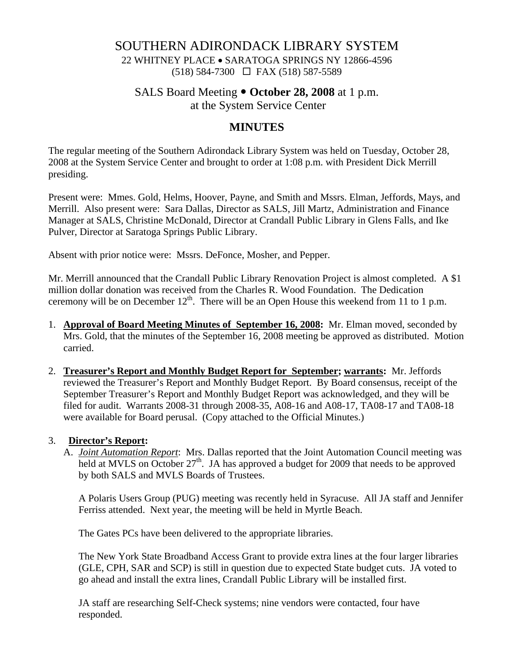# SOUTHERN ADIRONDACK LIBRARY SYSTEM

22 WHITNEY PLACE • SARATOGA SPRINGS NY 12866-4596 (518) 584-7300 FAX (518) 587-5589

### SALS Board Meeting  $\bullet$  October 28, 2008 at 1 p.m.

at the System Service Center

## **MINUTES**

The regular meeting of the Southern Adirondack Library System was held on Tuesday, October 28, 2008 at the System Service Center and brought to order at 1:08 p.m. with President Dick Merrill presiding.

Present were: Mmes. Gold, Helms, Hoover, Payne, and Smith and Mssrs. Elman, Jeffords, Mays, and Merrill. Also present were: Sara Dallas, Director as SALS, Jill Martz, Administration and Finance Manager at SALS, Christine McDonald, Director at Crandall Public Library in Glens Falls, and Ike Pulver, Director at Saratoga Springs Public Library.

Absent with prior notice were: Mssrs. DeFonce, Mosher, and Pepper.

Mr. Merrill announced that the Crandall Public Library Renovation Project is almost completed. A \$1 million dollar donation was received from the Charles R. Wood Foundation. The Dedication ceremony will be on December  $12<sup>th</sup>$ . There will be an Open House this weekend from 11 to 1 p.m.

- 1. **Approval of Board Meeting Minutes of September 16, 2008:** Mr. Elman moved, seconded by Mrs. Gold, that the minutes of the September 16, 2008 meeting be approved as distributed. Motion carried.
- 2. **Treasurer's Report and Monthly Budget Report for September; warrants:** Mr. Jeffords reviewed the Treasurer's Report and Monthly Budget Report. By Board consensus, receipt of the September Treasurer's Report and Monthly Budget Report was acknowledged, and they will be filed for audit. Warrants 2008-31 through 2008-35, A08-16 and A08-17, TA08-17 and TA08-18 were available for Board perusal. (Copy attached to the Official Minutes.)

### 3. **Director's Report:**

A. *Joint Automation Report*: Mrs. Dallas reported that the Joint Automation Council meeting was held at MVLS on October  $27<sup>th</sup>$ . JA has approved a budget for 2009 that needs to be approved by both SALS and MVLS Boards of Trustees.

A Polaris Users Group (PUG) meeting was recently held in Syracuse. All JA staff and Jennifer Ferriss attended. Next year, the meeting will be held in Myrtle Beach.

The Gates PCs have been delivered to the appropriate libraries.

The New York State Broadband Access Grant to provide extra lines at the four larger libraries (GLE, CPH, SAR and SCP) is still in question due to expected State budget cuts. JA voted to go ahead and install the extra lines, Crandall Public Library will be installed first.

JA staff are researching Self-Check systems; nine vendors were contacted, four have responded.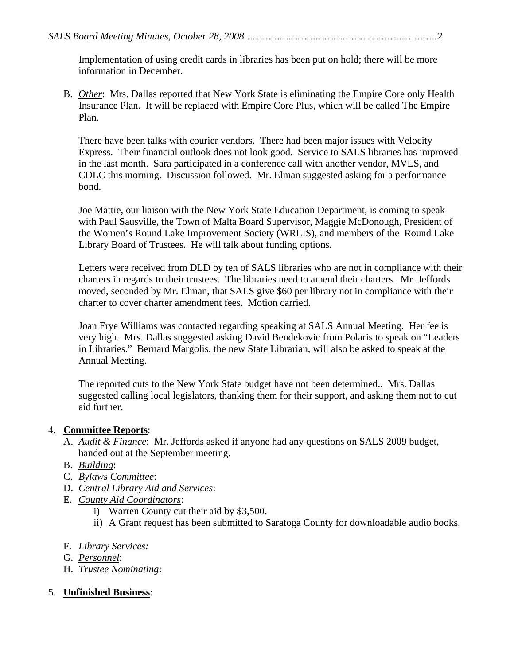Implementation of using credit cards in libraries has been put on hold; there will be more information in December.

B. *Other*: Mrs. Dallas reported that New York State is eliminating the Empire Core only Health Insurance Plan. It will be replaced with Empire Core Plus, which will be called The Empire Plan.

There have been talks with courier vendors. There had been major issues with Velocity Express. Their financial outlook does not look good. Service to SALS libraries has improved in the last month. Sara participated in a conference call with another vendor, MVLS, and CDLC this morning. Discussion followed. Mr. Elman suggested asking for a performance bond.

Joe Mattie, our liaison with the New York State Education Department, is coming to speak with Paul Sausville, the Town of Malta Board Supervisor, Maggie McDonough, President of the Women's Round Lake Improvement Society (WRLIS), and members of the Round Lake Library Board of Trustees. He will talk about funding options.

Letters were received from DLD by ten of SALS libraries who are not in compliance with their charters in regards to their trustees. The libraries need to amend their charters. Mr. Jeffords moved, seconded by Mr. Elman, that SALS give \$60 per library not in compliance with their charter to cover charter amendment fees. Motion carried.

Joan Frye Williams was contacted regarding speaking at SALS Annual Meeting. Her fee is very high. Mrs. Dallas suggested asking David Bendekovic from Polaris to speak on "Leaders in Libraries." Bernard Margolis, the new State Librarian, will also be asked to speak at the Annual Meeting.

The reported cuts to the New York State budget have not been determined.. Mrs. Dallas suggested calling local legislators, thanking them for their support, and asking them not to cut aid further.

### 4. **Committee Reports**:

- A. *Audit & Finance*: Mr. Jeffords asked if anyone had any questions on SALS 2009 budget, handed out at the September meeting.
- B. *Building*:
- C. *Bylaws Committee*:
- D. *Central Library Aid and Services*:
- E. *County Aid Coordinators*:
	- i) Warren County cut their aid by \$3,500.
	- ii) A Grant request has been submitted to Saratoga County for downloadable audio books.
- F. *Library Services:*
- G. *Personnel*:
- H. *Trustee Nominating*:
- 5. **Unfinished Business**: